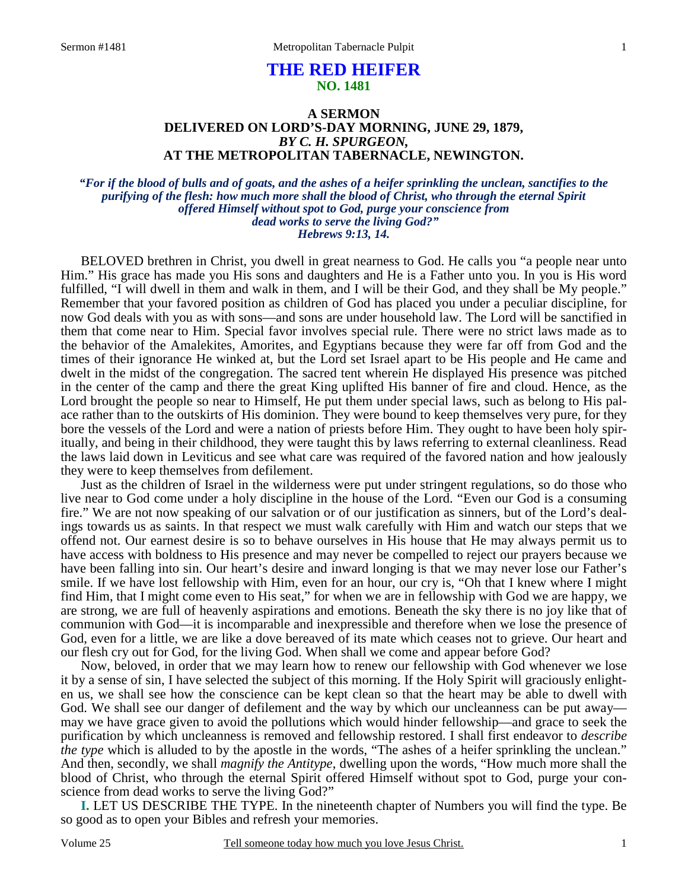# **THE RED HEIFER NO. 1481**

# **A SERMON DELIVERED ON LORD'S-DAY MORNING, JUNE 29, 1879,**  *BY C. H. SPURGEON,*  **AT THE METROPOLITAN TABERNACLE, NEWINGTON.**

*"For if the blood of bulls and of goats, and the ashes of a heifer sprinkling the unclean, sanctifies to the purifying of the flesh: how much more shall the blood of Christ, who through the eternal Spirit offered Himself without spot to God, purge your conscience from dead works to serve the living God?" Hebrews 9:13, 14.* 

BELOVED brethren in Christ, you dwell in great nearness to God. He calls you "a people near unto Him." His grace has made you His sons and daughters and He is a Father unto you. In you is His word fulfilled, "I will dwell in them and walk in them, and I will be their God, and they shall be My people." Remember that your favored position as children of God has placed you under a peculiar discipline, for now God deals with you as with sons—and sons are under household law. The Lord will be sanctified in them that come near to Him. Special favor involves special rule. There were no strict laws made as to the behavior of the Amalekites, Amorites, and Egyptians because they were far off from God and the times of their ignorance He winked at, but the Lord set Israel apart to be His people and He came and dwelt in the midst of the congregation. The sacred tent wherein He displayed His presence was pitched in the center of the camp and there the great King uplifted His banner of fire and cloud. Hence, as the Lord brought the people so near to Himself, He put them under special laws, such as belong to His palace rather than to the outskirts of His dominion. They were bound to keep themselves very pure, for they bore the vessels of the Lord and were a nation of priests before Him. They ought to have been holy spiritually, and being in their childhood, they were taught this by laws referring to external cleanliness. Read the laws laid down in Leviticus and see what care was required of the favored nation and how jealously they were to keep themselves from defilement.

 Just as the children of Israel in the wilderness were put under stringent regulations, so do those who live near to God come under a holy discipline in the house of the Lord. "Even our God is a consuming fire." We are not now speaking of our salvation or of our justification as sinners, but of the Lord's dealings towards us as saints. In that respect we must walk carefully with Him and watch our steps that we offend not. Our earnest desire is so to behave ourselves in His house that He may always permit us to have access with boldness to His presence and may never be compelled to reject our prayers because we have been falling into sin. Our heart's desire and inward longing is that we may never lose our Father's smile. If we have lost fellowship with Him, even for an hour, our cry is, "Oh that I knew where I might find Him, that I might come even to His seat," for when we are in fellowship with God we are happy, we are strong, we are full of heavenly aspirations and emotions. Beneath the sky there is no joy like that of communion with God—it is incomparable and inexpressible and therefore when we lose the presence of God, even for a little, we are like a dove bereaved of its mate which ceases not to grieve. Our heart and our flesh cry out for God, for the living God. When shall we come and appear before God?

 Now, beloved, in order that we may learn how to renew our fellowship with God whenever we lose it by a sense of sin, I have selected the subject of this morning. If the Holy Spirit will graciously enlighten us, we shall see how the conscience can be kept clean so that the heart may be able to dwell with God. We shall see our danger of defilement and the way by which our uncleanness can be put away may we have grace given to avoid the pollutions which would hinder fellowship—and grace to seek the purification by which uncleanness is removed and fellowship restored. I shall first endeavor to *describe the type* which is alluded to by the apostle in the words, "The ashes of a heifer sprinkling the unclean." And then, secondly, we shall *magnify the Antitype*, dwelling upon the words, "How much more shall the blood of Christ, who through the eternal Spirit offered Himself without spot to God, purge your conscience from dead works to serve the living God?"

**I.** LET US DESCRIBE THE TYPE. In the nineteenth chapter of Numbers you will find the type. Be so good as to open your Bibles and refresh your memories.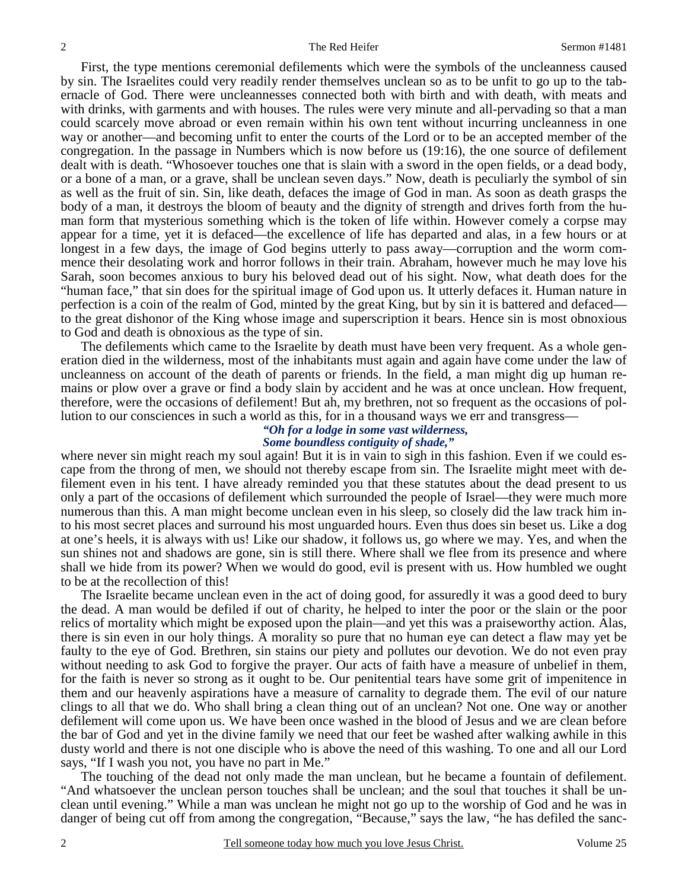First, the type mentions ceremonial defilements which were the symbols of the uncleanness caused by sin. The Israelites could very readily render themselves unclean so as to be unfit to go up to the tabernacle of God. There were uncleannesses connected both with birth and with death, with meats and with drinks, with garments and with houses. The rules were very minute and all-pervading so that a man could scarcely move abroad or even remain within his own tent without incurring uncleanness in one way or another—and becoming unfit to enter the courts of the Lord or to be an accepted member of the congregation. In the passage in Numbers which is now before us (19:16), the one source of defilement dealt with is death. "Whosoever touches one that is slain with a sword in the open fields, or a dead body, or a bone of a man, or a grave, shall be unclean seven days." Now, death is peculiarly the symbol of sin as well as the fruit of sin. Sin, like death, defaces the image of God in man. As soon as death grasps the body of a man, it destroys the bloom of beauty and the dignity of strength and drives forth from the human form that mysterious something which is the token of life within. However comely a corpse may appear for a time, yet it is defaced—the excellence of life has departed and alas, in a few hours or at longest in a few days, the image of God begins utterly to pass away—corruption and the worm commence their desolating work and horror follows in their train. Abraham, however much he may love his Sarah, soon becomes anxious to bury his beloved dead out of his sight. Now, what death does for the "human face," that sin does for the spiritual image of God upon us. It utterly defaces it. Human nature in perfection is a coin of the realm of God, minted by the great King, but by sin it is battered and defaced to the great dishonor of the King whose image and superscription it bears. Hence sin is most obnoxious to God and death is obnoxious as the type of sin.

 The defilements which came to the Israelite by death must have been very frequent. As a whole generation died in the wilderness, most of the inhabitants must again and again have come under the law of uncleanness on account of the death of parents or friends. In the field, a man might dig up human remains or plow over a grave or find a body slain by accident and he was at once unclean. How frequent, therefore, were the occasions of defilement! But ah, my brethren, not so frequent as the occasions of pollution to our consciences in such a world as this, for in a thousand ways we err and transgress—

## *"Oh for a lodge in some vast wilderness, Some boundless contiguity of shade,"*

where never sin might reach my soul again! But it is in vain to sigh in this fashion. Even if we could escape from the throng of men, we should not thereby escape from sin. The Israelite might meet with defilement even in his tent. I have already reminded you that these statutes about the dead present to us only a part of the occasions of defilement which surrounded the people of Israel—they were much more numerous than this. A man might become unclean even in his sleep, so closely did the law track him into his most secret places and surround his most unguarded hours. Even thus does sin beset us. Like a dog at one's heels, it is always with us! Like our shadow, it follows us, go where we may. Yes, and when the sun shines not and shadows are gone, sin is still there. Where shall we flee from its presence and where shall we hide from its power? When we would do good, evil is present with us. How humbled we ought to be at the recollection of this!

 The Israelite became unclean even in the act of doing good, for assuredly it was a good deed to bury the dead. A man would be defiled if out of charity, he helped to inter the poor or the slain or the poor relics of mortality which might be exposed upon the plain—and yet this was a praiseworthy action. Alas, there is sin even in our holy things. A morality so pure that no human eye can detect a flaw may yet be faulty to the eye of God. Brethren, sin stains our piety and pollutes our devotion. We do not even pray without needing to ask God to forgive the prayer. Our acts of faith have a measure of unbelief in them, for the faith is never so strong as it ought to be. Our penitential tears have some grit of impenitence in them and our heavenly aspirations have a measure of carnality to degrade them. The evil of our nature clings to all that we do. Who shall bring a clean thing out of an unclean? Not one. One way or another defilement will come upon us. We have been once washed in the blood of Jesus and we are clean before the bar of God and yet in the divine family we need that our feet be washed after walking awhile in this dusty world and there is not one disciple who is above the need of this washing. To one and all our Lord says, "If I wash you not, you have no part in Me."

 The touching of the dead not only made the man unclean, but he became a fountain of defilement. "And whatsoever the unclean person touches shall be unclean; and the soul that touches it shall be unclean until evening." While a man was unclean he might not go up to the worship of God and he was in danger of being cut off from among the congregation, "Because," says the law, "he has defiled the sanc-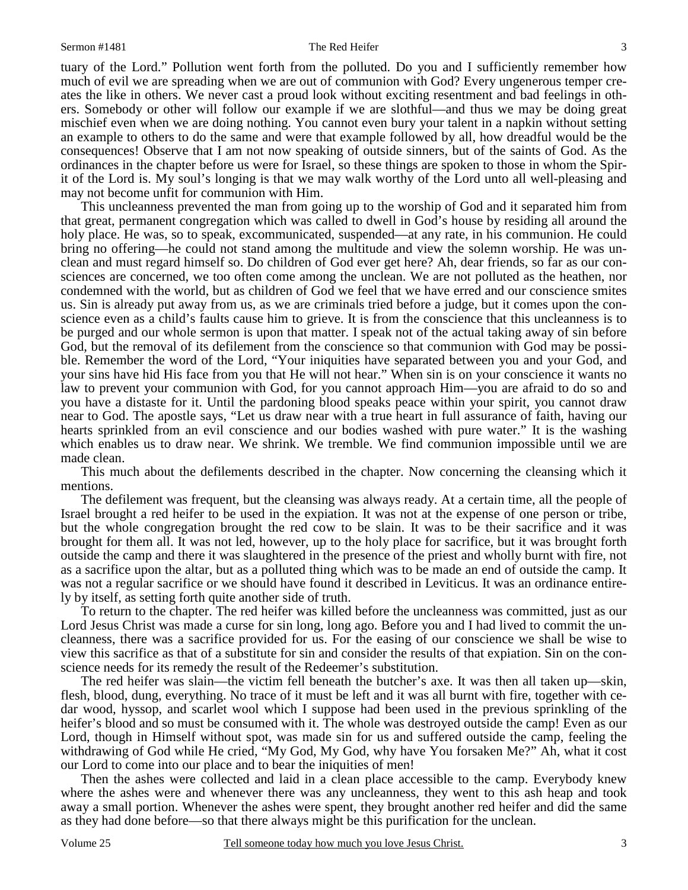### Sermon #1481 The Red Heifer

tuary of the Lord." Pollution went forth from the polluted. Do you and I sufficiently remember how much of evil we are spreading when we are out of communion with God? Every ungenerous temper creates the like in others. We never cast a proud look without exciting resentment and bad feelings in others. Somebody or other will follow our example if we are slothful—and thus we may be doing great mischief even when we are doing nothing. You cannot even bury your talent in a napkin without setting an example to others to do the same and were that example followed by all, how dreadful would be the consequences! Observe that I am not now speaking of outside sinners, but of the saints of God. As the ordinances in the chapter before us were for Israel, so these things are spoken to those in whom the Spirit of the Lord is. My soul's longing is that we may walk worthy of the Lord unto all well-pleasing and may not become unfit for communion with Him.

 This uncleanness prevented the man from going up to the worship of God and it separated him from that great, permanent congregation which was called to dwell in God's house by residing all around the holy place. He was, so to speak, excommunicated, suspended—at any rate, in his communion. He could bring no offering—he could not stand among the multitude and view the solemn worship. He was unclean and must regard himself so. Do children of God ever get here? Ah, dear friends, so far as our consciences are concerned, we too often come among the unclean. We are not polluted as the heathen, nor condemned with the world, but as children of God we feel that we have erred and our conscience smites us. Sin is already put away from us, as we are criminals tried before a judge, but it comes upon the conscience even as a child's faults cause him to grieve. It is from the conscience that this uncleanness is to be purged and our whole sermon is upon that matter. I speak not of the actual taking away of sin before God, but the removal of its defilement from the conscience so that communion with God may be possible. Remember the word of the Lord, "Your iniquities have separated between you and your God, and your sins have hid His face from you that He will not hear." When sin is on your conscience it wants no law to prevent your communion with God, for you cannot approach Him—you are afraid to do so and you have a distaste for it. Until the pardoning blood speaks peace within your spirit, you cannot draw near to God. The apostle says, "Let us draw near with a true heart in full assurance of faith, having our hearts sprinkled from an evil conscience and our bodies washed with pure water." It is the washing which enables us to draw near. We shrink. We tremble. We find communion impossible until we are made clean.

 This much about the defilements described in the chapter. Now concerning the cleansing which it mentions.

 The defilement was frequent, but the cleansing was always ready. At a certain time, all the people of Israel brought a red heifer to be used in the expiation. It was not at the expense of one person or tribe, but the whole congregation brought the red cow to be slain. It was to be their sacrifice and it was brought for them all. It was not led, however, up to the holy place for sacrifice, but it was brought forth outside the camp and there it was slaughtered in the presence of the priest and wholly burnt with fire, not as a sacrifice upon the altar, but as a polluted thing which was to be made an end of outside the camp. It was not a regular sacrifice or we should have found it described in Leviticus. It was an ordinance entirely by itself, as setting forth quite another side of truth.

 To return to the chapter. The red heifer was killed before the uncleanness was committed, just as our Lord Jesus Christ was made a curse for sin long, long ago. Before you and I had lived to commit the uncleanness, there was a sacrifice provided for us. For the easing of our conscience we shall be wise to view this sacrifice as that of a substitute for sin and consider the results of that expiation. Sin on the conscience needs for its remedy the result of the Redeemer's substitution.

 The red heifer was slain—the victim fell beneath the butcher's axe. It was then all taken up—skin, flesh, blood, dung, everything. No trace of it must be left and it was all burnt with fire, together with cedar wood, hyssop, and scarlet wool which I suppose had been used in the previous sprinkling of the heifer's blood and so must be consumed with it. The whole was destroyed outside the camp! Even as our Lord, though in Himself without spot, was made sin for us and suffered outside the camp, feeling the withdrawing of God while He cried, "My God, My God, why have You forsaken Me?" Ah, what it cost our Lord to come into our place and to bear the iniquities of men!

 Then the ashes were collected and laid in a clean place accessible to the camp. Everybody knew where the ashes were and whenever there was any uncleanness, they went to this ash heap and took away a small portion. Whenever the ashes were spent, they brought another red heifer and did the same as they had done before—so that there always might be this purification for the unclean.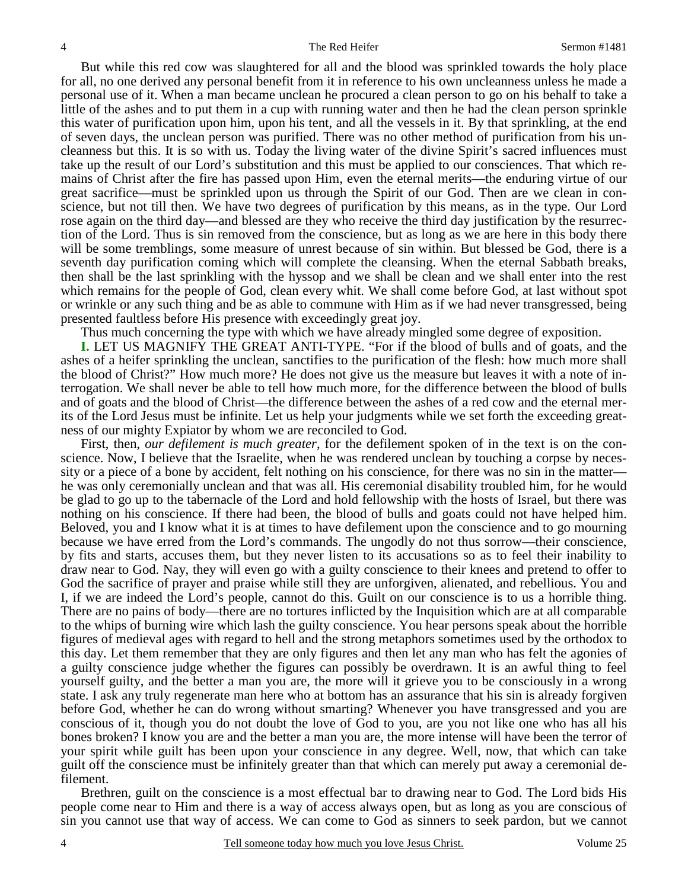But while this red cow was slaughtered for all and the blood was sprinkled towards the holy place for all, no one derived any personal benefit from it in reference to his own uncleanness unless he made a personal use of it. When a man became unclean he procured a clean person to go on his behalf to take a little of the ashes and to put them in a cup with running water and then he had the clean person sprinkle this water of purification upon him, upon his tent, and all the vessels in it. By that sprinkling, at the end of seven days, the unclean person was purified. There was no other method of purification from his uncleanness but this. It is so with us. Today the living water of the divine Spirit's sacred influences must take up the result of our Lord's substitution and this must be applied to our consciences. That which remains of Christ after the fire has passed upon Him, even the eternal merits—the enduring virtue of our great sacrifice—must be sprinkled upon us through the Spirit of our God. Then are we clean in conscience, but not till then. We have two degrees of purification by this means, as in the type. Our Lord rose again on the third day—and blessed are they who receive the third day justification by the resurrection of the Lord. Thus is sin removed from the conscience, but as long as we are here in this body there will be some tremblings, some measure of unrest because of sin within. But blessed be God, there is a seventh day purification coming which will complete the cleansing. When the eternal Sabbath breaks, then shall be the last sprinkling with the hyssop and we shall be clean and we shall enter into the rest which remains for the people of God, clean every whit. We shall come before God, at last without spot or wrinkle or any such thing and be as able to commune with Him as if we had never transgressed, being presented faultless before His presence with exceedingly great joy.

Thus much concerning the type with which we have already mingled some degree of exposition.

 **I.** LET US MAGNIFY THE GREAT ANTI-TYPE. "For if the blood of bulls and of goats, and the ashes of a heifer sprinkling the unclean, sanctifies to the purification of the flesh: how much more shall the blood of Christ?" How much more? He does not give us the measure but leaves it with a note of interrogation. We shall never be able to tell how much more, for the difference between the blood of bulls and of goats and the blood of Christ—the difference between the ashes of a red cow and the eternal merits of the Lord Jesus must be infinite. Let us help your judgments while we set forth the exceeding greatness of our mighty Expiator by whom we are reconciled to God.

 First, then, *our defilement is much greater*, for the defilement spoken of in the text is on the conscience. Now, I believe that the Israelite, when he was rendered unclean by touching a corpse by necessity or a piece of a bone by accident, felt nothing on his conscience, for there was no sin in the matter he was only ceremonially unclean and that was all. His ceremonial disability troubled him, for he would be glad to go up to the tabernacle of the Lord and hold fellowship with the hosts of Israel, but there was nothing on his conscience. If there had been, the blood of bulls and goats could not have helped him. Beloved, you and I know what it is at times to have defilement upon the conscience and to go mourning because we have erred from the Lord's commands. The ungodly do not thus sorrow—their conscience, by fits and starts, accuses them, but they never listen to its accusations so as to feel their inability to draw near to God. Nay, they will even go with a guilty conscience to their knees and pretend to offer to God the sacrifice of prayer and praise while still they are unforgiven, alienated, and rebellious. You and I, if we are indeed the Lord's people, cannot do this. Guilt on our conscience is to us a horrible thing. There are no pains of body—there are no tortures inflicted by the Inquisition which are at all comparable to the whips of burning wire which lash the guilty conscience. You hear persons speak about the horrible figures of medieval ages with regard to hell and the strong metaphors sometimes used by the orthodox to this day. Let them remember that they are only figures and then let any man who has felt the agonies of a guilty conscience judge whether the figures can possibly be overdrawn. It is an awful thing to feel yourself guilty, and the better a man you are, the more will it grieve you to be consciously in a wrong state. I ask any truly regenerate man here who at bottom has an assurance that his sin is already forgiven before God, whether he can do wrong without smarting? Whenever you have transgressed and you are conscious of it, though you do not doubt the love of God to you, are you not like one who has all his bones broken? I know you are and the better a man you are, the more intense will have been the terror of your spirit while guilt has been upon your conscience in any degree. Well, now, that which can take guilt off the conscience must be infinitely greater than that which can merely put away a ceremonial defilement.

 Brethren, guilt on the conscience is a most effectual bar to drawing near to God. The Lord bids His people come near to Him and there is a way of access always open, but as long as you are conscious of sin you cannot use that way of access. We can come to God as sinners to seek pardon, but we cannot

 $\Delta$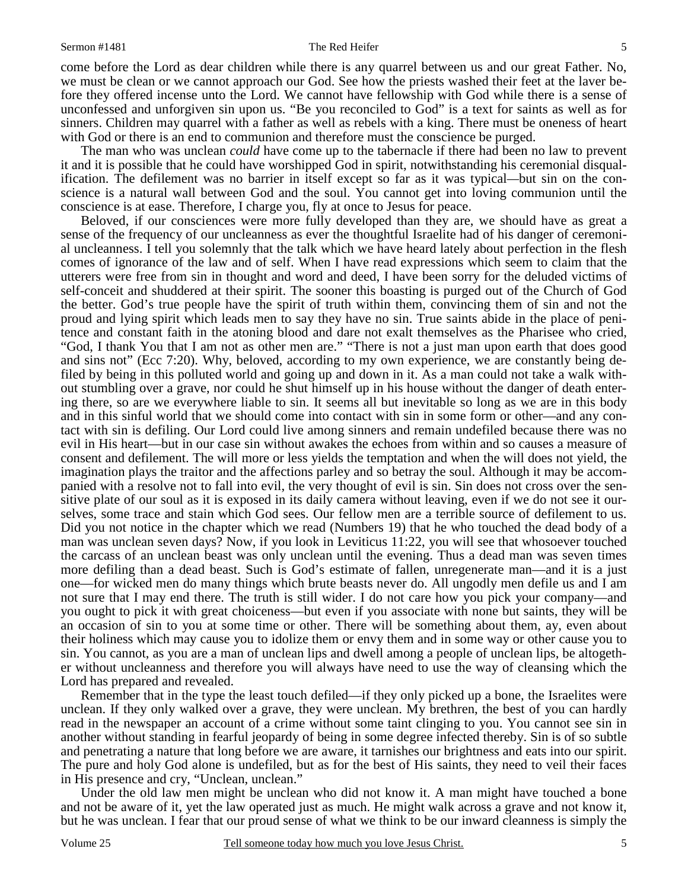#### Sermon #1481 The Red Heifer

come before the Lord as dear children while there is any quarrel between us and our great Father. No, we must be clean or we cannot approach our God. See how the priests washed their feet at the laver before they offered incense unto the Lord. We cannot have fellowship with God while there is a sense of unconfessed and unforgiven sin upon us. "Be you reconciled to God" is a text for saints as well as for sinners. Children may quarrel with a father as well as rebels with a king. There must be oneness of heart with God or there is an end to communion and therefore must the conscience be purged.

 The man who was unclean *could* have come up to the tabernacle if there had been no law to prevent it and it is possible that he could have worshipped God in spirit, notwithstanding his ceremonial disqualification. The defilement was no barrier in itself except so far as it was typical*—*but sin on the conscience is a natural wall between God and the soul. You cannot get into loving communion until the conscience is at ease. Therefore, I charge you, fly at once to Jesus for peace.

 Beloved, if our consciences were more fully developed than they are, we should have as great a sense of the frequency of our uncleanness as ever the thoughtful Israelite had of his danger of ceremonial uncleanness. I tell you solemnly that the talk which we have heard lately about perfection in the flesh comes of ignorance of the law and of self. When I have read expressions which seem to claim that the utterers were free from sin in thought and word and deed, I have been sorry for the deluded victims of self-conceit and shuddered at their spirit. The sooner this boasting is purged out of the Church of God the better. God's true people have the spirit of truth within them, convincing them of sin and not the proud and lying spirit which leads men to say they have no sin. True saints abide in the place of penitence and constant faith in the atoning blood and dare not exalt themselves as the Pharisee who cried, "God, I thank You that I am not as other men are." "There is not a just man upon earth that does good and sins not" (Ecc 7:20). Why, beloved, according to my own experience, we are constantly being defiled by being in this polluted world and going up and down in it. As a man could not take a walk without stumbling over a grave, nor could he shut himself up in his house without the danger of death entering there, so are we everywhere liable to sin. It seems all but inevitable so long as we are in this body and in this sinful world that we should come into contact with sin in some form or other—and any contact with sin is defiling. Our Lord could live among sinners and remain undefiled because there was no evil in His heart—but in our case sin without awakes the echoes from within and so causes a measure of consent and defilement. The will more or less yields the temptation and when the will does not yield, the imagination plays the traitor and the affections parley and so betray the soul. Although it may be accompanied with a resolve not to fall into evil, the very thought of evil is sin. Sin does not cross over the sensitive plate of our soul as it is exposed in its daily camera without leaving, even if we do not see it ourselves, some trace and stain which God sees. Our fellow men are a terrible source of defilement to us. Did you not notice in the chapter which we read (Numbers 19) that he who touched the dead body of a man was unclean seven days? Now, if you look in Leviticus 11:22, you will see that whosoever touched the carcass of an unclean beast was only unclean until the evening. Thus a dead man was seven times more defiling than a dead beast. Such is God's estimate of fallen, unregenerate man—and it is a just one—for wicked men do many things which brute beasts never do. All ungodly men defile us and I am not sure that I may end there. The truth is still wider. I do not care how you pick your company—and you ought to pick it with great choiceness—but even if you associate with none but saints, they will be an occasion of sin to you at some time or other. There will be something about them, ay, even about their holiness which may cause you to idolize them or envy them and in some way or other cause you to sin. You cannot, as you are a man of unclean lips and dwell among a people of unclean lips, be altogether without uncleanness and therefore you will always have need to use the way of cleansing which the Lord has prepared and revealed.

 Remember that in the type the least touch defiled—if they only picked up a bone, the Israelites were unclean. If they only walked over a grave, they were unclean. My brethren, the best of you can hardly read in the newspaper an account of a crime without some taint clinging to you. You cannot see sin in another without standing in fearful jeopardy of being in some degree infected thereby. Sin is of so subtle and penetrating a nature that long before we are aware, it tarnishes our brightness and eats into our spirit. The pure and holy God alone is undefiled, but as for the best of His saints, they need to veil their faces in His presence and cry, "Unclean, unclean."

 Under the old law men might be unclean who did not know it. A man might have touched a bone and not be aware of it, yet the law operated just as much. He might walk across a grave and not know it, but he was unclean. I fear that our proud sense of what we think to be our inward cleanness is simply the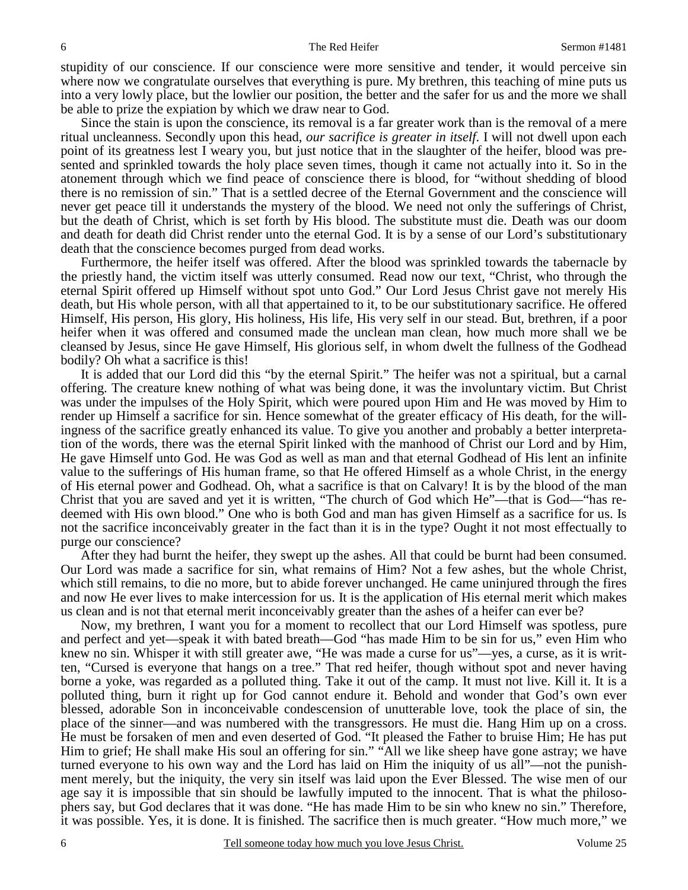stupidity of our conscience. If our conscience were more sensitive and tender, it would perceive sin where now we congratulate ourselves that everything is pure. My brethren, this teaching of mine puts us into a very lowly place, but the lowlier our position, the better and the safer for us and the more we shall be able to prize the expiation by which we draw near to God.

 Since the stain is upon the conscience, its removal is a far greater work than is the removal of a mere ritual uncleanness. Secondly upon this head, *our sacrifice is greater in itself*. I will not dwell upon each point of its greatness lest I weary you, but just notice that in the slaughter of the heifer, blood was presented and sprinkled towards the holy place seven times, though it came not actually into it. So in the atonement through which we find peace of conscience there is blood, for "without shedding of blood there is no remission of sin." That is a settled decree of the Eternal Government and the conscience will never get peace till it understands the mystery of the blood. We need not only the sufferings of Christ, but the death of Christ, which is set forth by His blood. The substitute must die. Death was our doom and death for death did Christ render unto the eternal God. It is by a sense of our Lord's substitutionary death that the conscience becomes purged from dead works.

 Furthermore, the heifer itself was offered. After the blood was sprinkled towards the tabernacle by the priestly hand, the victim itself was utterly consumed. Read now our text, "Christ, who through the eternal Spirit offered up Himself without spot unto God." Our Lord Jesus Christ gave not merely His death, but His whole person, with all that appertained to it, to be our substitutionary sacrifice. He offered Himself, His person, His glory, His holiness, His life, His very self in our stead. But, brethren, if a poor heifer when it was offered and consumed made the unclean man clean, how much more shall we be cleansed by Jesus, since He gave Himself, His glorious self, in whom dwelt the fullness of the Godhead bodily? Oh what a sacrifice is this!

 It is added that our Lord did this "by the eternal Spirit." The heifer was not a spiritual, but a carnal offering. The creature knew nothing of what was being done, it was the involuntary victim. But Christ was under the impulses of the Holy Spirit, which were poured upon Him and He was moved by Him to render up Himself a sacrifice for sin. Hence somewhat of the greater efficacy of His death, for the willingness of the sacrifice greatly enhanced its value. To give you another and probably a better interpretation of the words, there was the eternal Spirit linked with the manhood of Christ our Lord and by Him, He gave Himself unto God. He was God as well as man and that eternal Godhead of His lent an infinite value to the sufferings of His human frame, so that He offered Himself as a whole Christ, in the energy of His eternal power and Godhead. Oh, what a sacrifice is that on Calvary! It is by the blood of the man Christ that you are saved and yet it is written, "The church of God which He"—that is God—"has redeemed with His own blood." One who is both God and man has given Himself as a sacrifice for us. Is not the sacrifice inconceivably greater in the fact than it is in the type? Ought it not most effectually to purge our conscience?

 After they had burnt the heifer, they swept up the ashes. All that could be burnt had been consumed. Our Lord was made a sacrifice for sin, what remains of Him? Not a few ashes, but the whole Christ, which still remains, to die no more, but to abide forever unchanged. He came uninjured through the fires and now He ever lives to make intercession for us. It is the application of His eternal merit which makes us clean and is not that eternal merit inconceivably greater than the ashes of a heifer can ever be?

 Now, my brethren, I want you for a moment to recollect that our Lord Himself was spotless, pure and perfect and yet—speak it with bated breath—God "has made Him to be sin for us," even Him who knew no sin. Whisper it with still greater awe, "He was made a curse for us"—yes, a curse, as it is written, "Cursed is everyone that hangs on a tree." That red heifer, though without spot and never having borne a yoke, was regarded as a polluted thing. Take it out of the camp. It must not live. Kill it. It is a polluted thing, burn it right up for God cannot endure it. Behold and wonder that God's own ever blessed, adorable Son in inconceivable condescension of unutterable love, took the place of sin, the place of the sinner—and was numbered with the transgressors. He must die. Hang Him up on a cross. He must be forsaken of men and even deserted of God. "It pleased the Father to bruise Him; He has put Him to grief; He shall make His soul an offering for sin." "All we like sheep have gone astray; we have turned everyone to his own way and the Lord has laid on Him the iniquity of us all"—not the punishment merely, but the iniquity, the very sin itself was laid upon the Ever Blessed. The wise men of our age say it is impossible that sin should be lawfully imputed to the innocent. That is what the philosophers say, but God declares that it was done. "He has made Him to be sin who knew no sin." Therefore, it was possible. Yes, it is done. It is finished. The sacrifice then is much greater. "How much more," we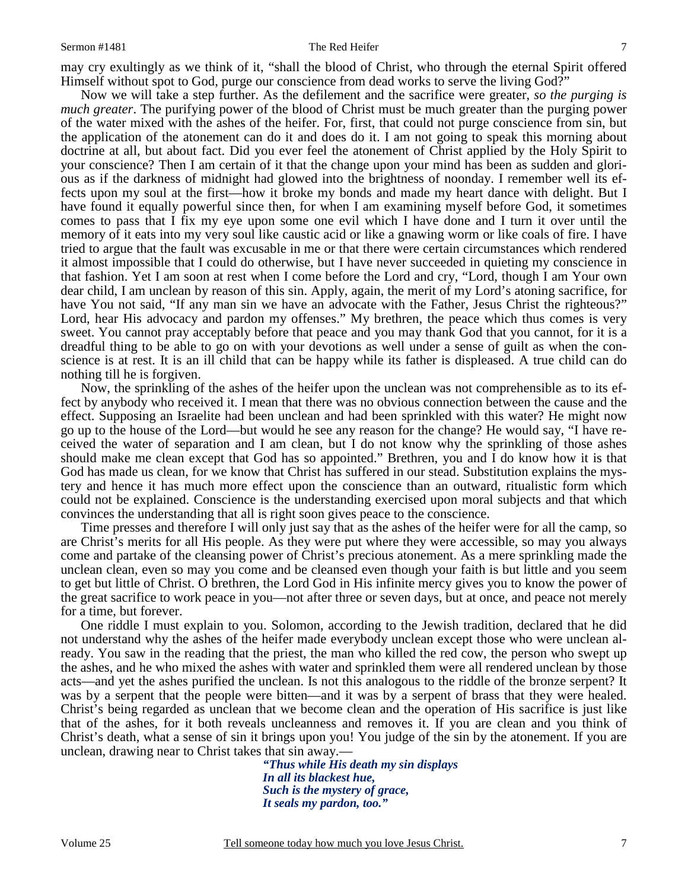## Sermon #1481 The Red Heifer

may cry exultingly as we think of it, "shall the blood of Christ, who through the eternal Spirit offered Himself without spot to God, purge our conscience from dead works to serve the living God?"

 Now we will take a step further. As the defilement and the sacrifice were greater, *so the purging is much greater*. The purifying power of the blood of Christ must be much greater than the purging power of the water mixed with the ashes of the heifer. For, first, that could not purge conscience from sin, but the application of the atonement can do it and does do it. I am not going to speak this morning about doctrine at all, but about fact. Did you ever feel the atonement of Christ applied by the Holy Spirit to your conscience? Then I am certain of it that the change upon your mind has been as sudden and glorious as if the darkness of midnight had glowed into the brightness of noonday. I remember well its effects upon my soul at the first—how it broke my bonds and made my heart dance with delight. But I have found it equally powerful since then, for when I am examining myself before God, it sometimes comes to pass that I fix my eye upon some one evil which I have done and I turn it over until the memory of it eats into my very soul like caustic acid or like a gnawing worm or like coals of fire. I have tried to argue that the fault was excusable in me or that there were certain circumstances which rendered it almost impossible that I could do otherwise, but I have never succeeded in quieting my conscience in that fashion. Yet I am soon at rest when I come before the Lord and cry, "Lord, though I am Your own dear child, I am unclean by reason of this sin. Apply, again, the merit of my Lord's atoning sacrifice, for have You not said, "If any man sin we have an advocate with the Father, Jesus Christ the righteous?" Lord, hear His advocacy and pardon my offenses." My brethren, the peace which thus comes is very sweet. You cannot pray acceptably before that peace and you may thank God that you cannot, for it is a dreadful thing to be able to go on with your devotions as well under a sense of guilt as when the conscience is at rest. It is an ill child that can be happy while its father is displeased. A true child can do nothing till he is forgiven.

 Now, the sprinkling of the ashes of the heifer upon the unclean was not comprehensible as to its effect by anybody who received it. I mean that there was no obvious connection between the cause and the effect. Supposing an Israelite had been unclean and had been sprinkled with this water? He might now go up to the house of the Lord—but would he see any reason for the change? He would say, "I have received the water of separation and I am clean, but I do not know why the sprinkling of those ashes should make me clean except that God has so appointed." Brethren, you and I do know how it is that God has made us clean, for we know that Christ has suffered in our stead. Substitution explains the mystery and hence it has much more effect upon the conscience than an outward, ritualistic form which could not be explained. Conscience is the understanding exercised upon moral subjects and that which convinces the understanding that all is right soon gives peace to the conscience.

 Time presses and therefore I will only just say that as the ashes of the heifer were for all the camp, so are Christ's merits for all His people. As they were put where they were accessible, so may you always come and partake of the cleansing power of Christ's precious atonement. As a mere sprinkling made the unclean clean, even so may you come and be cleansed even though your faith is but little and you seem to get but little of Christ. O brethren, the Lord God in His infinite mercy gives you to know the power of the great sacrifice to work peace in you—not after three or seven days, but at once, and peace not merely for a time, but forever.

 One riddle I must explain to you. Solomon, according to the Jewish tradition, declared that he did not understand why the ashes of the heifer made everybody unclean except those who were unclean already. You saw in the reading that the priest, the man who killed the red cow, the person who swept up the ashes, and he who mixed the ashes with water and sprinkled them were all rendered unclean by those acts—and yet the ashes purified the unclean. Is not this analogous to the riddle of the bronze serpent? It was by a serpent that the people were bitten—and it was by a serpent of brass that they were healed. Christ's being regarded as unclean that we become clean and the operation of His sacrifice is just like that of the ashes, for it both reveals uncleanness and removes it. If you are clean and you think of Christ's death, what a sense of sin it brings upon you! You judge of the sin by the atonement. If you are unclean, drawing near to Christ takes that sin away.—

*"Thus while His death my sin displays In all its blackest hue, Such is the mystery of grace, It seals my pardon, too."*